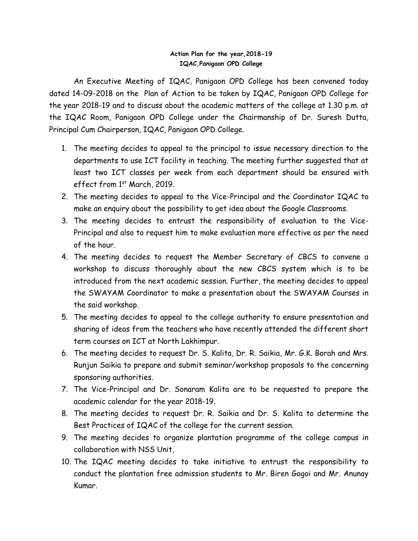## **Action Plan for the year,2018-19 IQAC,Panigaon OPD College**

An Executive Meeting of IQAC, Panigaon OPD College has been convened today dated 14-09-2018 on the Plan of Action to be taken by IQAC, Panigaon OPD College for the year 2018-19 and to discuss about the academic matters of the college at 1.30 p.m. at the IQAC Room, Panigaon OPD College under the Chairmanship of Dr. Suresh Dutta, Principal Cum Chairperson, IQAC, Panigaon OPD College.

- 1. The meeting decides to appeal to the principal to issue necessary direction to the departments to use ICT facility in teaching. The meeting further suggested that at least two ICT classes per week from each department should be ensured with effect from 1<sup>st</sup> March, 2019.
- 2. The meeting decides to appeal to the Vice-Principal and the Coordinator IQAC to make an enquiry about the possibility to get idea about the Google Classrooms.
- 3. The meeting decides to entrust the responsibility of evaluation to the Vice-Principal and also to request him to make evaluation more effective as per the need of the hour.
- 4. The meeting decides to request the Member Secretary of CBCS to convene a workshop to discuss thoroughly about the new CBCS system which is to be introduced from the next academic session. Further, the meeting decides to appeal the SWAYAM Coordinator to make a presentation about the SWAYAM Courses in the said workshop.
- 5. The meeting decides to appeal to the college authority to ensure presentation and sharing of ideas from the teachers who have recently attended the different short term courses on ICT at North Lakhimpur.
- 6. The meeting decides to request Dr. S. Kalita, Dr. R. Saikia, Mr. G.K. Borah and Mrs. Runjun Saikia to prepare and submit seminar/workshop proposals to the concerning sponsoring authorities.
- 7. The Vice-Principal and Dr. Sonaram Kalita are to be requested to prepare the academic calendar for the year 2018-19.
- 8. The meeting decides to request Dr. R. Saikia and Dr. S. Kalita to determine the Best Practices of IQAC of the college for the current session.
- 9. The meeting decides to organize plantation programme of the college campus in collaboration with NSS Unit,
- 10. The IQAC meeting decides to take initiative to entrust the responsibility to conduct the plantation free admission students to Mr. Biren Gogoi and Mr. Anunay Kumar.